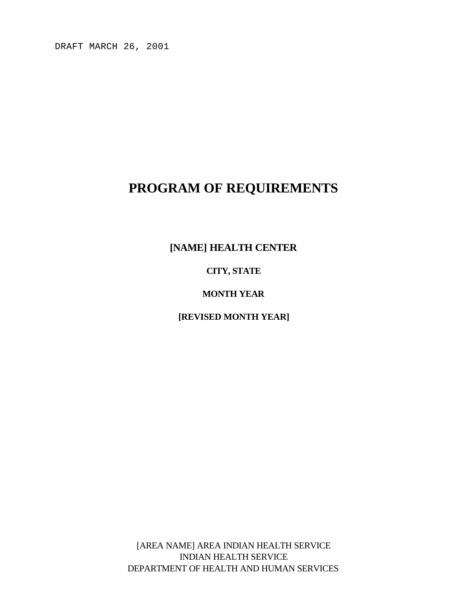DRAFT MARCH 26, 2001

# **PROGRAM OF REQUIREMENTS**

**[NAME] HEALTH CENTER**

**CITY, STATE**

**MONTH YEAR**

**[REVISED MONTH YEAR]**

[AREA NAME] AREA INDIAN HEALTH SERVICE INDIAN HEALTH SERVICE DEPARTMENT OF HEALTH AND HUMAN SERVICES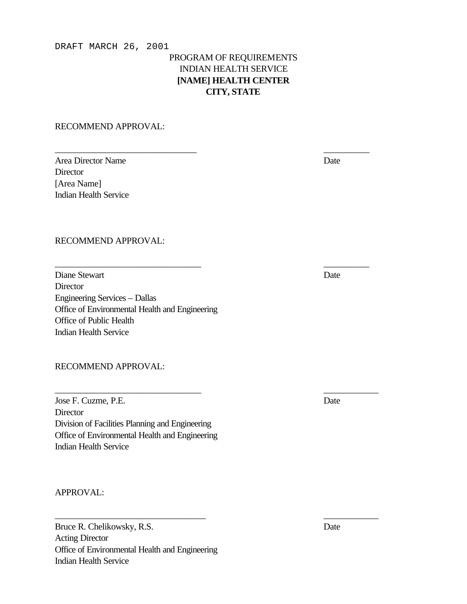#### DRAFT MARCH 26, 2001

### PROGRAM OF REQUIREMENTS INDIAN HEALTH SERVICE **[NAME] HEALTH CENTER CITY, STATE**

\_\_\_\_\_\_\_\_\_\_\_\_\_\_\_\_\_\_\_\_\_\_\_\_\_\_\_\_\_\_\_ \_\_\_\_\_\_\_\_\_\_

\_\_\_\_\_\_\_\_\_\_\_\_\_\_\_\_\_\_\_\_\_\_\_\_\_\_\_\_\_\_\_\_ \_\_\_\_\_\_\_\_\_\_

\_\_\_\_\_\_\_\_\_\_\_\_\_\_\_\_\_\_\_\_\_\_\_\_\_\_\_\_\_\_\_\_ \_\_\_\_\_\_\_\_\_\_\_\_

\_\_\_\_\_\_\_\_\_\_\_\_\_\_\_\_\_\_\_\_\_\_\_\_\_\_\_\_\_\_\_\_\_ \_\_\_\_\_\_\_\_\_\_\_\_

RECOMMEND APPROVAL:

| Area Director Name           | Date |
|------------------------------|------|
| Director                     |      |
| [Area Name]                  |      |
| <b>Indian Health Service</b> |      |

#### RECOMMEND APPROVAL:

Diane Stewart Date **Director** Engineering Services – Dallas Office of Environmental Health and Engineering Office of Public Health Indian Health Service

RECOMMEND APPROVAL:

Jose F. Cuzme, P.E. Date **Director** Division of Facilities Planning and Engineering Office of Environmental Health and Engineering Indian Health Service

#### APPROVAL:

Bruce R. Chelikowsky, R.S. Date Acting Director Office of Environmental Health and Engineering Indian Health Service